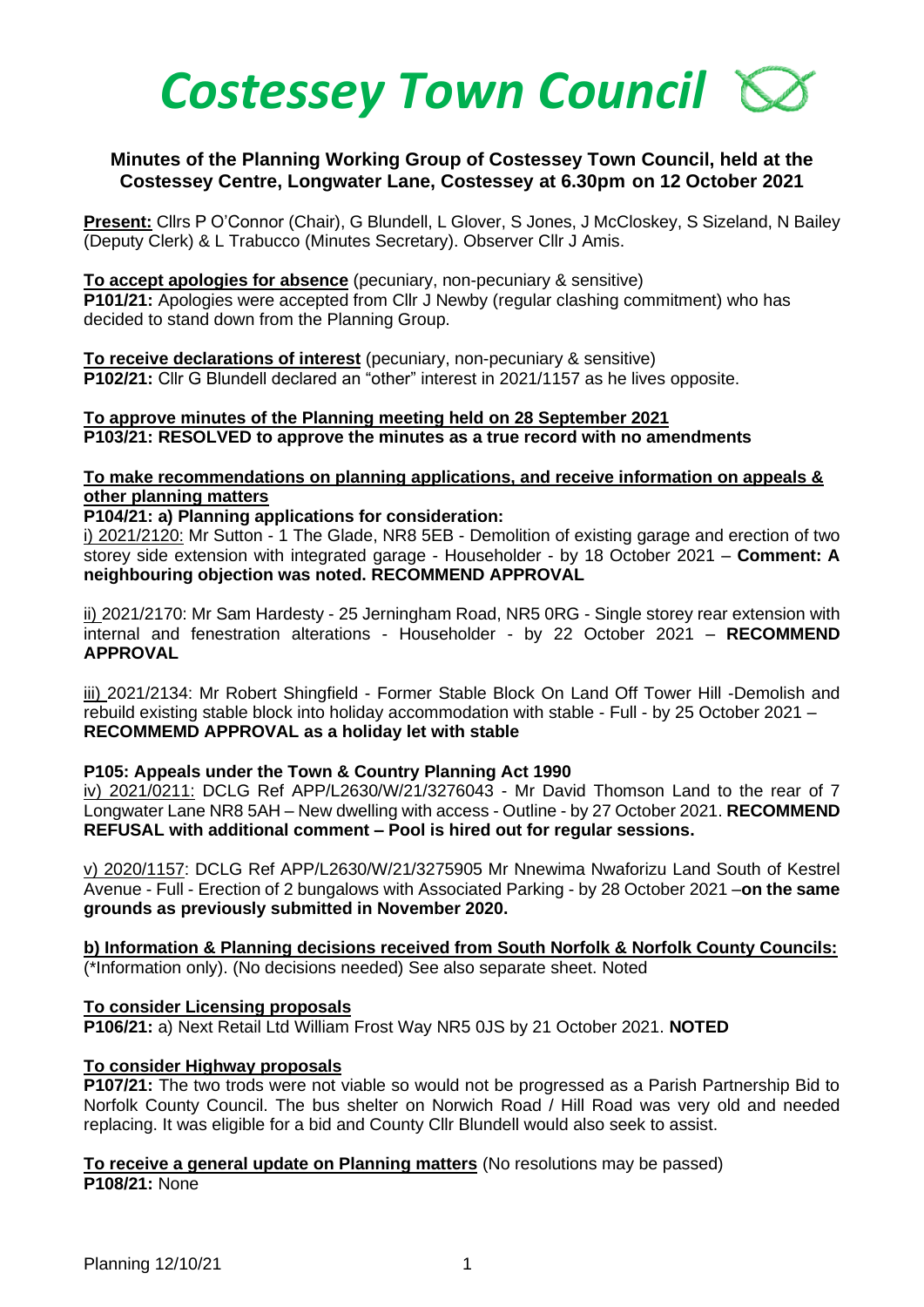

# **Minutes of the Planning Working Group of Costessey Town Council, held at the Costessey Centre, Longwater Lane, Costessey at 6.30pm on 12 October 2021**

**Present:** Cllrs P O'Connor (Chair), G Blundell, L Glover, S Jones, J McCloskey, S Sizeland, N Bailey (Deputy Clerk) & L Trabucco (Minutes Secretary). Observer Cllr J Amis.

**To accept apologies for absence** (pecuniary, non-pecuniary & sensitive) **P101/21:** Apologies were accepted from Cllr J Newby (regular clashing commitment) who has decided to stand down from the Planning Group.

**To receive declarations of interest** (pecuniary, non-pecuniary & sensitive) **P102/21:** Cllr G Blundell declared an "other" interest in 2021/1157 as he lives opposite.

#### **To approve minutes of the Planning meeting held on 28 September 2021 P103/21: RESOLVED to approve the minutes as a true record with no amendments**

## **To make recommendations on planning applications, and receive information on appeals & other planning matters**

#### **P104/21: a) Planning applications for consideration:**

i) 2021/2120: Mr Sutton - 1 The Glade, NR8 5EB - Demolition of existing garage and erection of two storey side extension with integrated garage - Householder - by 18 October 2021 – **Comment: A neighbouring objection was noted. RECOMMEND APPROVAL** 

ii) 2021/2170: Mr Sam Hardesty - 25 Jerningham Road, NR5 0RG - Single storey rear extension with internal and fenestration alterations - Householder - by 22 October 2021 – **RECOMMEND APPROVAL**

iii) 2021/2134: Mr Robert Shingfield - Former Stable Block On Land Off Tower Hill -Demolish and rebuild existing stable block into holiday accommodation with stable - Full - by 25 October 2021 – **RECOMMEMD APPROVAL as a holiday let with stable**

#### **P105: Appeals under the Town & Country Planning Act 1990**

iv) 2021/0211: DCLG Ref APP/L2630/W/21/3276043 - Mr David Thomson Land to the rear of 7 Longwater Lane NR8 5AH – New dwelling with access - Outline - by 27 October 2021. **RECOMMEND REFUSAL with additional comment – Pool is hired out for regular sessions.** 

v) 2020/1157: DCLG Ref APP/L2630/W/21/3275905 Mr Nnewima Nwaforizu Land South of Kestrel Avenue - Full - Erection of 2 bungalows with Associated Parking - by 28 October 2021 –**on the same grounds as previously submitted in November 2020.** 

**b) Information & Planning decisions received from South Norfolk & Norfolk County Councils:** (\*Information only). (No decisions needed) See also separate sheet. Noted

## **To consider Licensing proposals**

**P106/21:** a) Next Retail Ltd William Frost Way NR5 0JS by 21 October 2021. **NOTED**

## **To consider Highway proposals**

**P107/21:** The two trods were not viable so would not be progressed as a Parish Partnership Bid to Norfolk County Council. The bus shelter on Norwich Road / Hill Road was very old and needed replacing. It was eligible for a bid and County Cllr Blundell would also seek to assist.

**To receive a general update on Planning matters** (No resolutions may be passed) **P108/21:** None